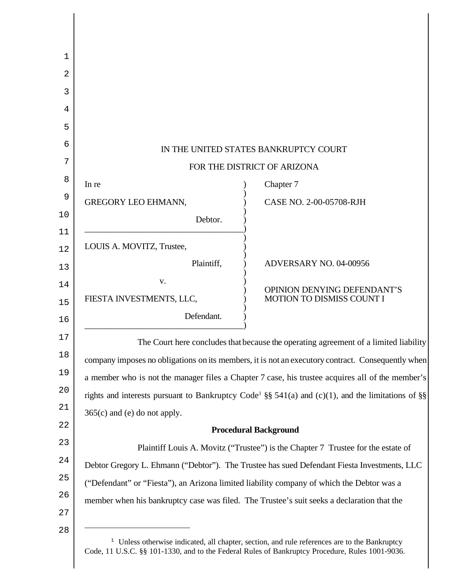|                                | IN THE UNITED STATES BANKRUPTCY COURT                                                                         |
|--------------------------------|---------------------------------------------------------------------------------------------------------------|
|                                | FOR THE DISTRICT OF ARIZONA                                                                                   |
| In re                          | Chapter 7                                                                                                     |
| <b>GREGORY LEO EHMANN,</b>     | CASE NO. 2-00-05708-RJH                                                                                       |
| Debtor.                        |                                                                                                               |
| LOUIS A. MOVITZ, Trustee,      |                                                                                                               |
| Plaintiff,                     | ADVERSARY NO. 04-00956                                                                                        |
| V.                             |                                                                                                               |
| FIESTA INVESTMENTS, LLC,       | OPINION DENYING DEFENDANT'S<br>MOTION TO DISMISS COUNT I                                                      |
| Defendant.                     |                                                                                                               |
|                                | The Court here concludes that because the operating agreement of a limited liability                          |
|                                | company imposes no obligations on its members, it is not an executory contract. Consequently when             |
|                                | a member who is not the manager files a Chapter 7 case, his trustee acquires all of the member's              |
|                                | rights and interests pursuant to Bankruptcy Code <sup>1</sup> §§ 541(a) and (c)(1), and the limitations of §§ |
| $365(c)$ and (e) do not apply. |                                                                                                               |
|                                | <b>Procedural Background</b>                                                                                  |
|                                | Plaintiff Louis A. Movitz ("Trustee") is the Chapter 7 Trustee for the estate of                              |
|                                | Debtor Gregory L. Ehmann ("Debtor"). The Trustee has sued Defendant Fiesta Investments, LLC                   |
|                                | ("Defendant" or "Fiesta"), an Arizona limited liability company of which the Debtor was a                     |
|                                | member when his bankruptcy case was filed. The Trustee's suit seeks a declaration that the                    |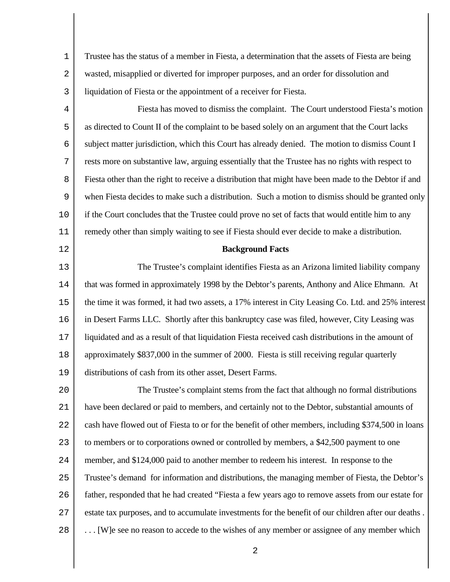1 2 3 Trustee has the status of a member in Fiesta, a determination that the assets of Fiesta are being wasted, misapplied or diverted for improper purposes, and an order for dissolution and liquidation of Fiesta or the appointment of a receiver for Fiesta.

4 5 6 7 8 9 10 11 Fiesta has moved to dismiss the complaint. The Court understood Fiesta's motion as directed to Count II of the complaint to be based solely on an argument that the Court lacks subject matter jurisdiction, which this Court has already denied. The motion to dismiss Count I rests more on substantive law, arguing essentially that the Trustee has no rights with respect to Fiesta other than the right to receive a distribution that might have been made to the Debtor if and when Fiesta decides to make such a distribution. Such a motion to dismiss should be granted only if the Court concludes that the Trustee could prove no set of facts that would entitle him to any remedy other than simply waiting to see if Fiesta should ever decide to make a distribution.

## **Background Facts**

12

13 14 15 16 17 18 19 The Trustee's complaint identifies Fiesta as an Arizona limited liability company that was formed in approximately 1998 by the Debtor's parents, Anthony and Alice Ehmann. At the time it was formed, it had two assets, a 17% interest in City Leasing Co. Ltd. and 25% interest in Desert Farms LLC. Shortly after this bankruptcy case was filed, however, City Leasing was liquidated and as a result of that liquidation Fiesta received cash distributions in the amount of approximately \$837,000 in the summer of 2000. Fiesta is still receiving regular quarterly distributions of cash from its other asset, Desert Farms.

 $20^{\circ}$ 21 22 23 24 25 26 27 28 The Trustee's complaint stems from the fact that although no formal distributions have been declared or paid to members, and certainly not to the Debtor, substantial amounts of cash have flowed out of Fiesta to or for the benefit of other members, including \$374,500 in loans to members or to corporations owned or controlled by members, a \$42,500 payment to one member, and \$124,000 paid to another member to redeem his interest. In response to the Trustee's demand for information and distributions, the managing member of Fiesta, the Debtor's father, responded that he had created "Fiesta a few years ago to remove assets from our estate for estate tax purposes, and to accumulate investments for the benefit of our children after our deaths . . . . [W]e see no reason to accede to the wishes of any member or assignee of any member which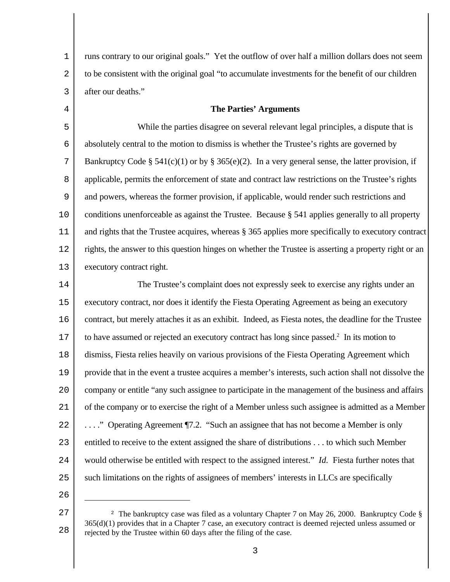1 2 3 runs contrary to our original goals." Yet the outflow of over half a million dollars does not seem to be consistent with the original goal "to accumulate investments for the benefit of our children after our deaths."

## **The Parties' Arguments**

5 6 7 8 9 10 11 12 13 While the parties disagree on several relevant legal principles, a dispute that is absolutely central to the motion to dismiss is whether the Trustee's rights are governed by Bankruptcy Code § 541(c)(1) or by § 365(e)(2). In a very general sense, the latter provision, if applicable, permits the enforcement of state and contract law restrictions on the Trustee's rights and powers, whereas the former provision, if applicable, would render such restrictions and conditions unenforceable as against the Trustee. Because § 541 applies generally to all property and rights that the Trustee acquires, whereas § 365 applies more specifically to executory contract rights, the answer to this question hinges on whether the Trustee is asserting a property right or an executory contract right.

14 15 16 17 18 19  $2.0$ 21 22 23 24 25 The Trustee's complaint does not expressly seek to exercise any rights under an executory contract, nor does it identify the Fiesta Operating Agreement as being an executory contract, but merely attaches it as an exhibit. Indeed, as Fiesta notes, the deadline for the Trustee to have assumed or rejected an executory contract has long since passed. $2$  In its motion to dismiss, Fiesta relies heavily on various provisions of the Fiesta Operating Agreement which provide that in the event a trustee acquires a member's interests, such action shall not dissolve the company or entitle "any such assignee to participate in the management of the business and affairs of the company or to exercise the right of a Member unless such assignee is admitted as a Member . . . ." Operating Agreement ¶7.2. "Such an assignee that has not become a Member is only entitled to receive to the extent assigned the share of distributions . . . to which such Member would otherwise be entitled with respect to the assigned interest." *Id.* Fiesta further notes that such limitations on the rights of assignees of members' interests in LLCs are specifically

26

<sup>27</sup> 28 <sup>2</sup> The bankruptcy case was filed as a voluntary Chapter 7 on May 26, 2000. Bankruptcy Code § 365(d)(1) provides that in a Chapter 7 case, an executory contract is deemed rejected unless assumed or rejected by the Trustee within 60 days after the filing of the case.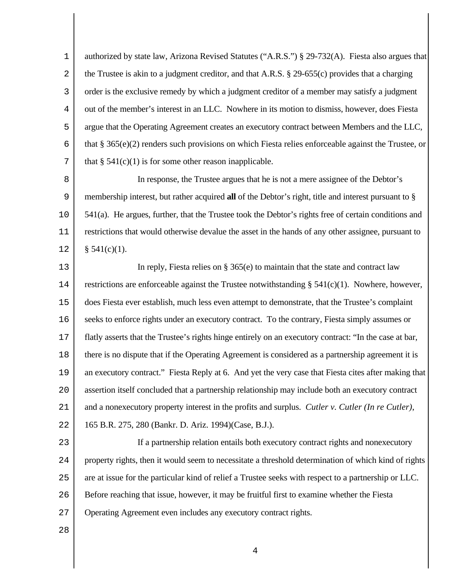1 2 3 4 5 6 7 authorized by state law, Arizona Revised Statutes ("A.R.S.") § 29-732(A). Fiesta also argues that the Trustee is akin to a judgment creditor, and that A.R.S. § 29-655(c) provides that a charging order is the exclusive remedy by which a judgment creditor of a member may satisfy a judgment out of the member's interest in an LLC. Nowhere in its motion to dismiss, however, does Fiesta argue that the Operating Agreement creates an executory contract between Members and the LLC, that § 365(e)(2) renders such provisions on which Fiesta relies enforceable against the Trustee, or that  $\S$  541(c)(1) is for some other reason inapplicable.

8 9 10 11 12 In response, the Trustee argues that he is not a mere assignee of the Debtor's membership interest, but rather acquired **all** of the Debtor's right, title and interest pursuant to § 541(a). He argues, further, that the Trustee took the Debtor's rights free of certain conditions and restrictions that would otherwise devalue the asset in the hands of any other assignee, pursuant to  $§ 541(c)(1).$ 

13 14 15 16 17 18 19  $2.0$ 21 22 In reply, Fiesta relies on § 365(e) to maintain that the state and contract law restrictions are enforceable against the Trustee notwithstanding  $\S$  541(c)(1). Nowhere, however, does Fiesta ever establish, much less even attempt to demonstrate, that the Trustee's complaint seeks to enforce rights under an executory contract. To the contrary, Fiesta simply assumes or flatly asserts that the Trustee's rights hinge entirely on an executory contract: "In the case at bar, there is no dispute that if the Operating Agreement is considered as a partnership agreement it is an executory contract." Fiesta Reply at 6. And yet the very case that Fiesta cites after making that assertion itself concluded that a partnership relationship may include both an executory contract and a nonexecutory property interest in the profits and surplus. *Cutler v. Cutler (In re Cutler)*, 165 B.R. 275, 280 (Bankr. D. Ariz. 1994)(Case, B.J.).

23

24 25 26 27 If a partnership relation entails both executory contract rights and nonexecutory property rights, then it would seem to necessitate a threshold determination of which kind of rights are at issue for the particular kind of relief a Trustee seeks with respect to a partnership or LLC. Before reaching that issue, however, it may be fruitful first to examine whether the Fiesta Operating Agreement even includes any executory contract rights.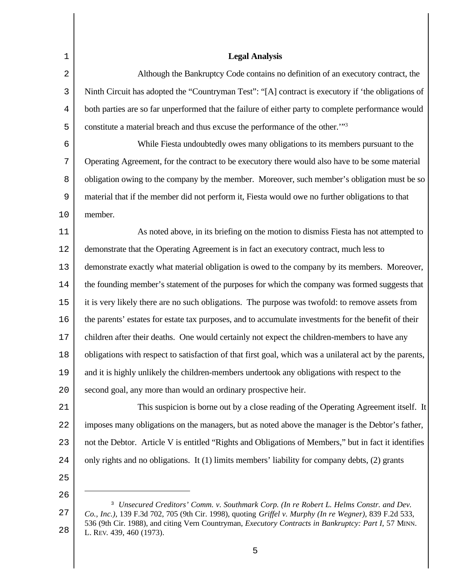| $\mathbf 1$ | <b>Legal Analysis</b>                                                                                   |  |
|-------------|---------------------------------------------------------------------------------------------------------|--|
| $\sqrt{2}$  | Although the Bankruptcy Code contains no definition of an executory contract, the                       |  |
| 3           | Ninth Circuit has adopted the "Countryman Test": "[A] contract is executory if 'the obligations of      |  |
| 4           | both parties are so far unperformed that the failure of either party to complete performance would      |  |
| 5           | constitute a material breach and thus excuse the performance of the other." <sup>3</sup>                |  |
| $\epsilon$  | While Fiesta undoubtedly owes many obligations to its members pursuant to the                           |  |
| 7           | Operating Agreement, for the contract to be executory there would also have to be some material         |  |
| 8           | obligation owing to the company by the member. Moreover, such member's obligation must be so            |  |
| 9           | material that if the member did not perform it, Fiesta would owe no further obligations to that         |  |
| 10          | member.                                                                                                 |  |
| $11$        | As noted above, in its briefing on the motion to dismiss Fiesta has not attempted to                    |  |
| $1\,2$      | demonstrate that the Operating Agreement is in fact an executory contract, much less to                 |  |
| 13          | demonstrate exactly what material obligation is owed to the company by its members. Moreover,           |  |
| 14          | the founding member's statement of the purposes for which the company was formed suggests that          |  |
| $15\,$      | it is very likely there are no such obligations. The purpose was twofold: to remove assets from         |  |
| 16          | the parents' estates for estate tax purposes, and to accumulate investments for the benefit of their    |  |
| $17\,$      | children after their deaths. One would certainly not expect the children-members to have any            |  |
| 18          | obligations with respect to satisfaction of that first goal, which was a unilateral act by the parents, |  |
| 19          | and it is highly unlikely the children-members undertook any obligations with respect to the            |  |
| 20          | second goal, any more than would an ordinary prospective heir.                                          |  |
| 21          | This suspicion is borne out by a close reading of the Operating Agreement itself. It                    |  |
| 22          | imposes many obligations on the managers, but as noted above the manager is the Debtor's father,        |  |
| 23          | not the Debtor. Article V is entitled "Rights and Obligations of Members," but in fact it identifies    |  |
| 24          | only rights and no obligations. It (1) limits members' liability for company debts, (2) grants          |  |
| 25          |                                                                                                         |  |
| 26          | <sup>3</sup> Unsecured Creditors' Comm. v. Southmark Corp. (In re Robert L. Helms Constr. and Dev.      |  |
| 27          | Co., Inc.), 139 F.3d 702, 705 (9th Cir. 1998), quoting Griffel v. Murphy (In re Wegner), 839 F.2d 533,  |  |

<sup>536 (9</sup>th Cir. 1988), and citing Vern Countryman, *Executory Contracts in Bankruptcy: Part I*, 57 MINN. L. REV. 439, 460 (1973).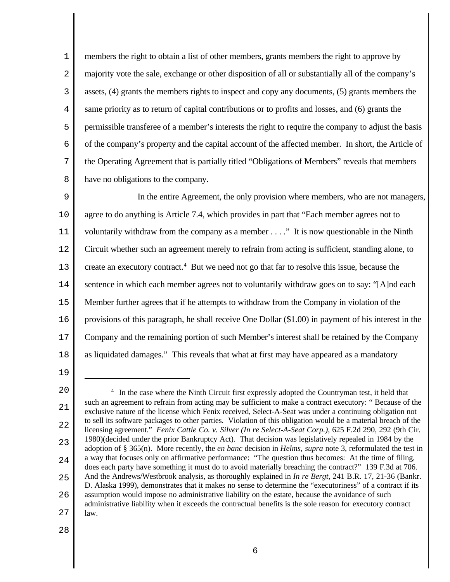1 2 3 4 5 6 7 8 members the right to obtain a list of other members, grants members the right to approve by majority vote the sale, exchange or other disposition of all or substantially all of the company's assets, (4) grants the members rights to inspect and copy any documents, (5) grants members the same priority as to return of capital contributions or to profits and losses, and (6) grants the permissible transferee of a member's interests the right to require the company to adjust the basis of the company's property and the capital account of the affected member. In short, the Article of the Operating Agreement that is partially titled "Obligations of Members" reveals that members have no obligations to the company.

9 10 11 12 13 14 15 16 17 18 In the entire Agreement, the only provision where members, who are not managers, agree to do anything is Article 7.4, which provides in part that "Each member agrees not to voluntarily withdraw from the company as a member . . . ." It is now questionable in the Ninth Circuit whether such an agreement merely to refrain from acting is sufficient, standing alone, to create an executory contract.<sup>4</sup> But we need not go that far to resolve this issue, because the sentence in which each member agrees not to voluntarily withdraw goes on to say: "[A]nd each Member further agrees that if he attempts to withdraw from the Company in violation of the provisions of this paragraph, he shall receive One Dollar (\$1.00) in payment of his interest in the Company and the remaining portion of such Member's interest shall be retained by the Company as liquidated damages." This reveals that what at first may have appeared as a mandatory

19

 $20^{\circ}$ 21 22 23 24 25 26 27 <sup>4</sup> In the case where the Ninth Circuit first expressly adopted the Countryman test, it held that such an agreement to refrain from acting may be sufficient to make a contract executory: " Because of the exclusive nature of the license which Fenix received, Select-A-Seat was under a continuing obligation not to sell its software packages to other parties. Violation of this obligation would be a material breach of the licensing agreement." *Fenix Cattle Co. v. Silver (In re Select-A-Seat Corp.)*, 625 F.2d 290, 292 (9th Cir. 1980)(decided under the prior Bankruptcy Act). That decision was legislatively repealed in 1984 by the adoption of § 365(n). More recently, the *en banc* decision in *Helms, supra* note 3, reformulated the test in a way that focuses only on affirmative performance: "The question thus becomes: At the time of filing, does each party have something it must do to avoid materially breaching the contract?" 139 F.3d at 706. And the Andrews/Westbrook analysis, as thoroughly explained in *In re Bergt*, 241 B.R. 17, 21-36 (Bankr. D. Alaska 1999), demonstrates that it makes no sense to determine the "executoriness" of a contract if its assumption would impose no administrative liability on the estate, because the avoidance of such administrative liability when it exceeds the contractual benefits is the sole reason for executory contract law.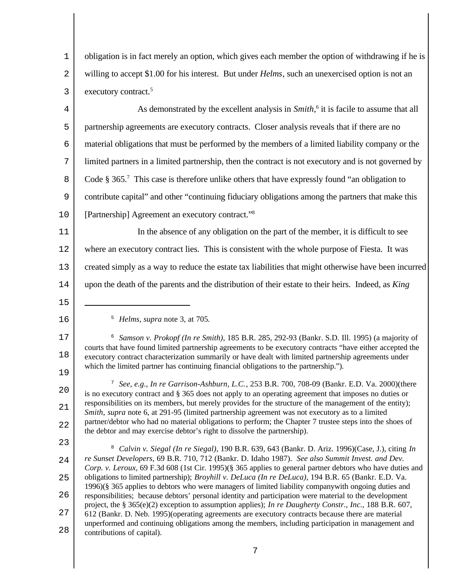1 2 3 obligation is in fact merely an option, which gives each member the option of withdrawing if he is willing to accept \$1.00 for his interest. But under *Helms*, such an unexercised option is not an executory contract.<sup>5</sup>

4 5 6 7 8 9 10 As demonstrated by the excellent analysis in *Smith*,<sup>6</sup> it is facile to assume that all partnership agreements are executory contracts. Closer analysis reveals that if there are no material obligations that must be performed by the members of a limited liability company or the limited partners in a limited partnership, then the contract is not executory and is not governed by Code § 365.<sup>7</sup> This case is therefore unlike others that have expressly found "an obligation to contribute capital" and other "continuing fiduciary obligations among the partners that make this [Partnership] Agreement an executory contract."<sup>8</sup>

11 12 13 14 In the absence of any obligation on the part of the member, it is difficult to see where an executory contract lies. This is consistent with the whole purpose of Fiesta. It was created simply as a way to reduce the estate tax liabilities that might otherwise have been incurred upon the death of the parents and the distribution of their estate to their heirs. Indeed, as *King*

- 15
- 16

<sup>5</sup> *Helms, supra* note 3, at 705*.*

17 18 19 <sup>6</sup> *Samson v. Prokopf (In re Smith)*, 185 B.R. 285, 292-93 (Bankr. S.D. Ill. 1995) (a majority of courts that have found limited partnership agreements to be executory contracts "have either accepted the executory contract characterization summarily or have dealt with limited partnership agreements under which the limited partner has continuing financial obligations to the partnership.").

 $2.0$ 21 22 <sup>7</sup> *See, e.g., In re Garrison-Ashburn, L.C.*, 253 B.R. 700, 708-09 (Bankr. E.D. Va. 2000)(there is no executory contract and § 365 does not apply to an operating agreement that imposes no duties or responsibilities on its members, but merely provides for the structure of the management of the entity); *Smith, supra* note 6, at 291-95 (limited partnership agreement was not executory as to a limited partner/debtor who had no material obligations to perform; the Chapter 7 trustee steps into the shoes of the debtor and may exercise debtor's right to dissolve the partnership).

<sup>23</sup>

<sup>24</sup> 25 26 27 28 <sup>8</sup> *Calvin v. Siegal (In re Siegal)*, 190 B.R. 639, 643 (Bankr. D. Ariz. 1996)(Case, J.), citing *In re Sunset Developers*, 69 B.R. 710, 712 (Bankr. D. Idaho 1987). *See also Summit Invest. and Dev. Corp. v. Leroux*, 69 F.3d 608 (1st Cir. 1995)(§ 365 applies to general partner debtors who have duties and obligations to limited partnership); *Broyhill v. DeLuca (In re DeLuca)*, 194 B.R. 65 (Bankr. E.D. Va. 1996)(§ 365 applies to debtors who were managers of limited liability companywith ongoing duties and responsibilities; because debtors' personal identity and participation were material to the development project, the § 365(e)(2) exception to assumption applies); *In re Daugherty Constr., Inc.*, 188 B.R. 607, 612 (Bankr. D. Neb. 1995)(operating agreements are executory contracts because there are material unperformed and continuing obligations among the members, including participation in management and contributions of capital).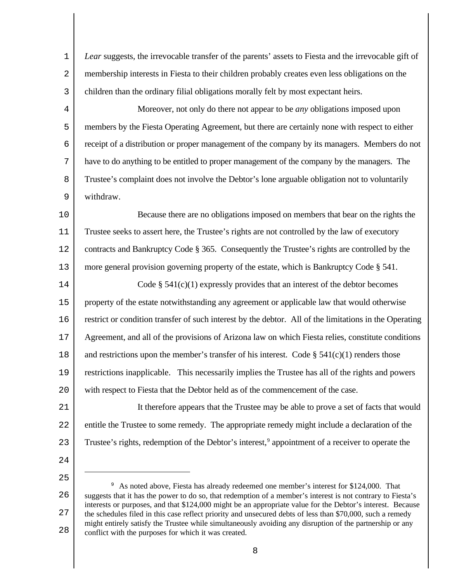1 2 3 *Lear* suggests, the irrevocable transfer of the parents' assets to Fiesta and the irrevocable gift of membership interests in Fiesta to their children probably creates even less obligations on the children than the ordinary filial obligations morally felt by most expectant heirs.

4 5 6 7 8 9 Moreover, not only do there not appear to be *any* obligations imposed upon members by the Fiesta Operating Agreement, but there are certainly none with respect to either receipt of a distribution or proper management of the company by its managers. Members do not have to do anything to be entitled to proper management of the company by the managers. The Trustee's complaint does not involve the Debtor's lone arguable obligation not to voluntarily withdraw.

10 11 12 13 Because there are no obligations imposed on members that bear on the rights the Trustee seeks to assert here, the Trustee's rights are not controlled by the law of executory contracts and Bankruptcy Code § 365. Consequently the Trustee's rights are controlled by the more general provision governing property of the estate, which is Bankruptcy Code § 541.

14 15 16 17 18 19  $20^{\circ}$ Code  $\S$  541(c)(1) expressly provides that an interest of the debtor becomes property of the estate notwithstanding any agreement or applicable law that would otherwise restrict or condition transfer of such interest by the debtor. All of the limitations in the Operating Agreement, and all of the provisions of Arizona law on which Fiesta relies, constitute conditions and restrictions upon the member's transfer of his interest. Code  $\S 541(c)(1)$  renders those restrictions inapplicable. This necessarily implies the Trustee has all of the rights and powers with respect to Fiesta that the Debtor held as of the commencement of the case.

21 22 23 It therefore appears that the Trustee may be able to prove a set of facts that would entitle the Trustee to some remedy. The appropriate remedy might include a declaration of the Trustee's rights, redemption of the Debtor's interest,<sup>9</sup> appointment of a receiver to operate the

24

<sup>26</sup> 27 28 <sup>9</sup> As noted above, Fiesta has already redeemed one member's interest for \$124,000. That suggests that it has the power to do so, that redemption of a member's interest is not contrary to Fiesta's interests or purposes, and that \$124,000 might be an appropriate value for the Debtor's interest. Because the schedules filed in this case reflect priority and unsecured debts of less than \$70,000, such a remedy might entirely satisfy the Trustee while simultaneously avoiding any disruption of the partnership or any conflict with the purposes for which it was created.